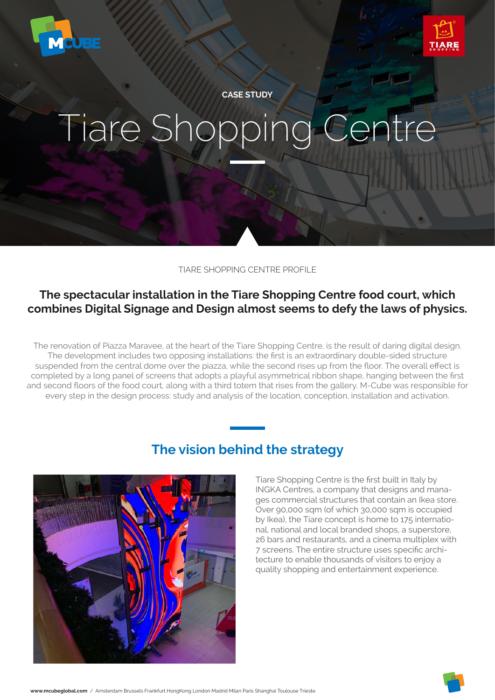



**CASE STUDY**

# Tiare Shopping Centre

TIARE SHOPPING CENTRE PROFILE

## **The spectacular installation in the Tiare Shopping Centre food court, which combines Digital Signage and Design almost seems to defy the laws of physics.**

The renovation of Piazza Maravee, at the heart of the Tiare Shopping Centre, is the result of daring digital design. The development includes two opposing installations: the first is an extraordinary double-sided structure suspended from the central dome over the piazza, while the second rises up from the floor. The overall effect is completed by a long panel of screens that adopts a playful asymmetrical ribbon shape, hanging between the first and second floors of the food court, along with a third totem that rises from the gallery. M-Cube was responsible for every step in the design process: study and analysis of the location, conception, installation and activation.



## **The vision behind the strategy**

Tiare Shopping Centre is the first built in Italy by INGKA Centres, a company that designs and manages commercial structures that contain an Ikea store. Over 90,000 sqm (of which 30,000 sqm is occupied by Ikea), the Tiare concept is home to 175 international, national and local branded shops, a superstore, 26 bars and restaurants, and a cinema multiplex with 7 screens. The entire structure uses specific architecture to enable thousands of visitors to enjoy a quality shopping and entertainment experience.

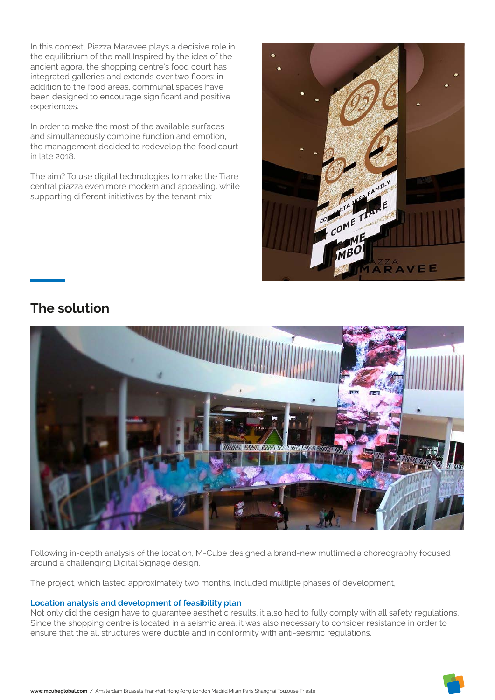In this context, Piazza Maravee plays a decisive role in the equilibrium of the mall.Inspired by the idea of the ancient agora, the shopping centre's food court has integrated galleries and extends over two floors: in addition to the food areas, communal spaces have been designed to encourage significant and positive experiences.

In order to make the most of the available surfaces and simultaneously combine function and emotion, the management decided to redevelop the food court in late 2018.

The aim? To use digital technologies to make the Tiare central piazza even more modern and appealing, while supporting different initiatives by the tenant mix



# **The solution**



Following in-depth analysis of the location, M-Cube designed a brand-new multimedia choreography focused around a challenging Digital Signage design.

The project, which lasted approximately two months, included multiple phases of development,

## **Location analysis and development of feasibility plan**

Not only did the design have to guarantee aesthetic results, it also had to fully comply with all safety regulations. Since the shopping centre is located in a seismic area, it was also necessary to consider resistance in order to ensure that the all structures were ductile and in conformity with anti-seismic regulations.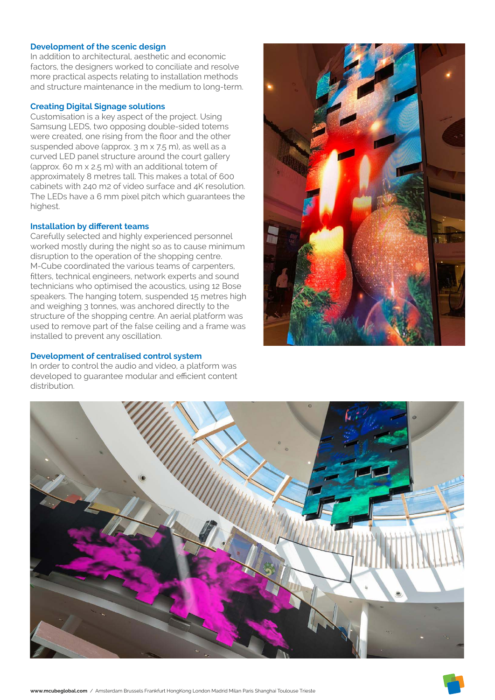#### **Development of the scenic design**

In addition to architectural, aesthetic and economic factors, the designers worked to conciliate and resolve more practical aspects relating to installation methods and structure maintenance in the medium to long-term.

#### **Creating Digital Signage solutions**

Customisation is a key aspect of the project. Using Samsung LEDS, two opposing double-sided totems were created, one rising from the floor and the other suspended above (approx. 3 m x 7.5 m), as well as a curved LED panel structure around the court gallery (approx. 60 m x 2.5 m) with an additional totem of approximately 8 metres tall. This makes a total of 600 cabinets with 240 m2 of video surface and 4K resolution. The LEDs have a 6 mm pixel pitch which guarantees the highest.

#### **Installation by different teams**

Carefully selected and highly experienced personnel worked mostly during the night so as to cause minimum disruption to the operation of the shopping centre. M-Cube coordinated the various teams of carpenters, fitters, technical engineers, network experts and sound technicians who optimised the acoustics, using 12 Bose speakers. The hanging totem, suspended 15 metres high and weighing 3 tonnes, was anchored directly to the structure of the shopping centre. An aerial platform was used to remove part of the false ceiling and a frame was installed to prevent any oscillation.

## **Development of centralised control system**

In order to control the audio and video, a platform was developed to guarantee modular and efficient content distribution.